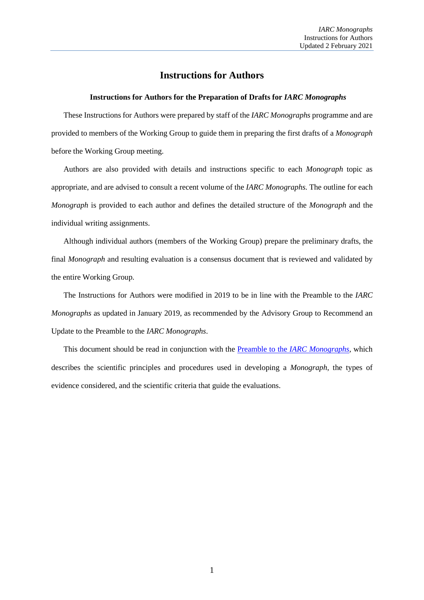# **Instructions for Authors**

#### **Instructions for Authors for the Preparation of Drafts for** *IARC Monographs*

These Instructions for Authors were prepared by staff of the *IARC Monographs* programme and are provided to members of the Working Group to guide them in preparing the first drafts of a *Monograph* before the Working Group meeting.

Authors are also provided with details and instructions specific to each *Monograph* topic as appropriate, and are advised to consult a recent volume of the *IARC Monographs.* The outline for each *Monograph* is provided to each author and defines the detailed structure of the *Monograph* and the individual writing assignments.

Although individual authors (members of the Working Group) prepare the preliminary drafts, the final *Monograph* and resulting evaluation is a consensus document that is reviewed and validated by the entire Working Group.

The Instructions for Authors were modified in 2019 to be in line with the Preamble to the *IARC Monographs* as updated in January 2019, as recommended by the Advisory Group to Recommend an Update to the Preamble to the *IARC Monographs*.

This document should be read in conjunction with the Preamble to the *[IARC Monographs](https://monographs.iarc.who.int/wp-content/uploads/2019/01/Preamble-2019.pdf)*, which describes the scientific principles and procedures used in developing a *Monograph*, the types of evidence considered, and the scientific criteria that guide the evaluations.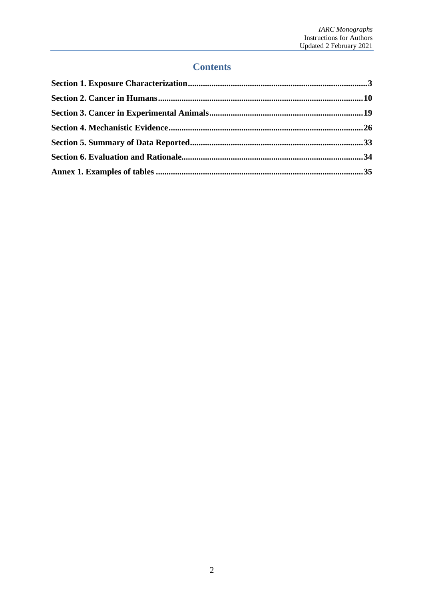# **Contents**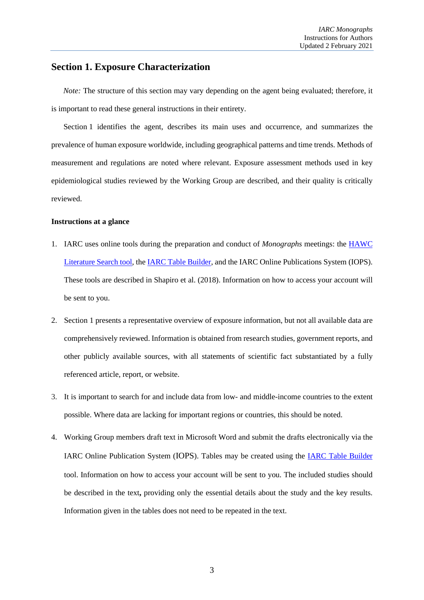# <span id="page-2-0"></span>**Section 1. Exposure Characterization**

*Note:* The structure of this section may vary depending on the agent being evaluated; therefore, it is important to read these general instructions in their entirety.

Section 1 identifies the agent, describes its main uses and occurrence, and summarizes the prevalence of human exposure worldwide, including geographical patterns and time trends. Methods of measurement and regulations are noted where relevant. Exposure assessment methods used in key epidemiological studies reviewed by the Working Group are described, and their quality is critically reviewed.

# **Instructions at a glance**

- 1. IARC uses online tools during the preparation and conduct of *Monographs* meetings: the [HAWC](https://hawcproject.iarc.who.int/)  [Literature Search tool,](https://hawcproject.iarc.who.int/) the [IARC Table Builder,](https://table-builder.com/) and the IARC Online Publications System (IOPS). These tools are described in Shapiro et al. (2018). Information on how to access your account will be sent to you.
- 2. Section 1 presents a representative overview of exposure information, but not all available data are comprehensively reviewed. Information is obtained from research studies, government reports, and other publicly available sources, with all statements of scientific fact substantiated by a fully referenced article, report, or website.
- 3. It is important to search for and include data from low- and middle-income countries to the extent possible. Where data are lacking for important regions or countries, this should be noted.
- 4. Working Group members draft text in Microsoft Word and submit the drafts electronically via the IARC Online Publication System (IOPS). Tables may be created using the [IARC Table Builder](https://table-builder.com/) tool. Information on how to access your account will be sent to you. The included studies should be described in the text**,** providing only the essential details about the study and the key results. Information given in the tables does not need to be repeated in the text.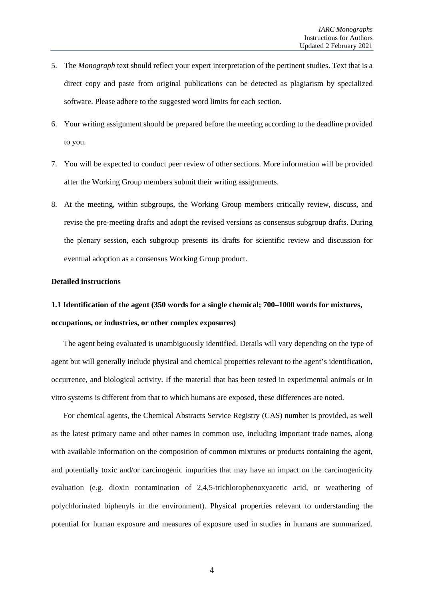- 5. The *Monograph* text should reflect your expert interpretation of the pertinent studies. Text that is a direct copy and paste from original publications can be detected as plagiarism by specialized software. Please adhere to the suggested word limits for each section.
- 6. Your writing assignment should be prepared before the meeting according to the deadline provided to you.
- 7. You will be expected to conduct peer review of other sections. More information will be provided after the Working Group members submit their writing assignments.
- 8. At the meeting, within subgroups, the Working Group members critically review, discuss, and revise the pre-meeting drafts and adopt the revised versions as consensus subgroup drafts. During the plenary session, each subgroup presents its drafts for scientific review and discussion for eventual adoption as a consensus Working Group product.

### **Detailed instructions**

# **1.1 Identification of the agent (350 words for a single chemical; 700–1000 words for mixtures, occupations, or industries, or other complex exposures)**

The agent being evaluated is unambiguously identified. Details will vary depending on the type of agent but will generally include physical and chemical properties relevant to the agent's identification, occurrence, and biological activity. If the material that has been tested in experimental animals or in vitro systems is different from that to which humans are exposed, these differences are noted.

For chemical agents, the Chemical Abstracts Service Registry (CAS) number is provided, as well as the latest primary name and other names in common use, including important trade names, along with available information on the composition of common mixtures or products containing the agent, and potentially toxic and/or carcinogenic impurities that may have an impact on the carcinogenicity evaluation (e.g. dioxin contamination of 2,4,5-trichlorophenoxyacetic acid, or weathering of polychlorinated biphenyls in the environment). Physical properties relevant to understanding the potential for human exposure and measures of exposure used in studies in humans are summarized.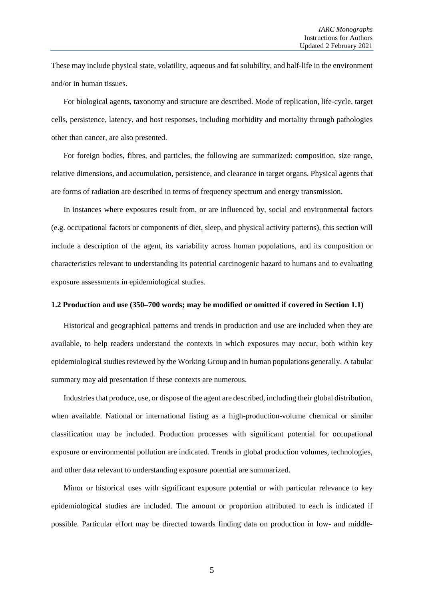These may include physical state, volatility, aqueous and fat solubility, and half-life in the environment and/or in human tissues.

For biological agents, taxonomy and structure are described. Mode of replication, life-cycle, target cells, persistence, latency, and host responses, including morbidity and mortality through pathologies other than cancer, are also presented.

For foreign bodies, fibres, and particles, the following are summarized: composition, size range, relative dimensions, and accumulation, persistence, and clearance in target organs. Physical agents that are forms of radiation are described in terms of frequency spectrum and energy transmission.

In instances where exposures result from, or are influenced by, social and environmental factors (e.g. occupational factors or components of diet, sleep, and physical activity patterns), this section will include a description of the agent, its variability across human populations, and its composition or characteristics relevant to understanding its potential carcinogenic hazard to humans and to evaluating exposure assessments in epidemiological studies.

#### **1.2 Production and use (350–700 words; may be modified or omitted if covered in Section 1.1)**

Historical and geographical patterns and trends in production and use are included when they are available, to help readers understand the contexts in which exposures may occur, both within key epidemiological studies reviewed by the Working Group and in human populations generally. A tabular summary may aid presentation if these contexts are numerous.

Industries that produce, use, or dispose of the agent are described, including their global distribution, when available. National or international listing as a high-production-volume chemical or similar classification may be included. Production processes with significant potential for occupational exposure or environmental pollution are indicated. Trends in global production volumes, technologies, and other data relevant to understanding exposure potential are summarized.

Minor or historical uses with significant exposure potential or with particular relevance to key epidemiological studies are included. The amount or proportion attributed to each is indicated if possible. Particular effort may be directed towards finding data on production in low- and middle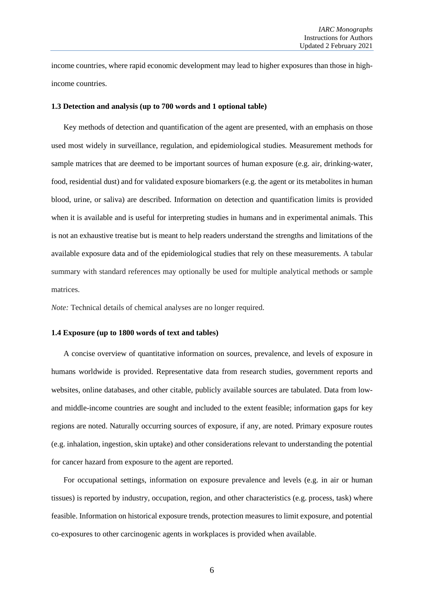income countries, where rapid economic development may lead to higher exposures than those in highincome countries.

#### **1.3 Detection and analysis (up to 700 words and 1 optional table)**

Key methods of detection and quantification of the agent are presented, with an emphasis on those used most widely in surveillance, regulation, and epidemiological studies. Measurement methods for sample matrices that are deemed to be important sources of human exposure (e.g. air, drinking-water, food, residential dust) and for validated exposure biomarkers (e.g. the agent or its metabolites in human blood, urine, or saliva) are described. Information on detection and quantification limits is provided when it is available and is useful for interpreting studies in humans and in experimental animals. This is not an exhaustive treatise but is meant to help readers understand the strengths and limitations of the available exposure data and of the epidemiological studies that rely on these measurements. A tabular summary with standard references may optionally be used for multiple analytical methods or sample matrices.

*Note:* Technical details of chemical analyses are no longer required.

### **1.4 Exposure (up to 1800 words of text and tables)**

A concise overview of quantitative information on sources, prevalence, and levels of exposure in humans worldwide is provided. Representative data from research studies, government reports and websites, online databases, and other citable, publicly available sources are tabulated. Data from lowand middle-income countries are sought and included to the extent feasible; information gaps for key regions are noted. Naturally occurring sources of exposure, if any, are noted. Primary exposure routes (e.g. inhalation, ingestion, skin uptake) and other considerations relevant to understanding the potential for cancer hazard from exposure to the agent are reported.

For occupational settings, information on exposure prevalence and levels (e.g. in air or human tissues) is reported by industry, occupation, region, and other characteristics (e.g. process, task) where feasible. Information on historical exposure trends, protection measures to limit exposure, and potential co-exposures to other carcinogenic agents in workplaces is provided when available.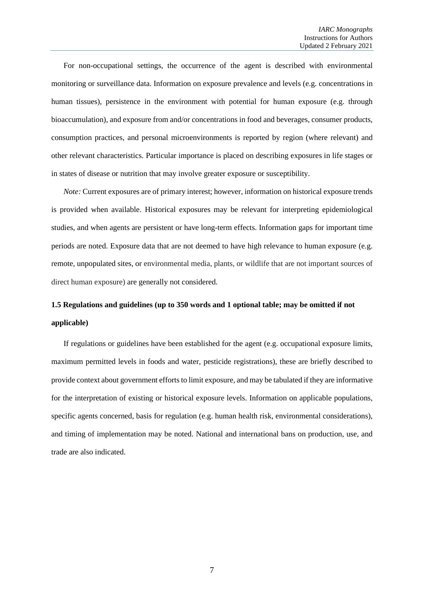For non-occupational settings, the occurrence of the agent is described with environmental monitoring or surveillance data. Information on exposure prevalence and levels (e.g. concentrations in human tissues), persistence in the environment with potential for human exposure (e.g. through bioaccumulation), and exposure from and/or concentrations in food and beverages, consumer products, consumption practices, and personal microenvironments is reported by region (where relevant) and other relevant characteristics. Particular importance is placed on describing exposures in life stages or in states of disease or nutrition that may involve greater exposure or susceptibility.

*Note:* Current exposures are of primary interest; however, information on historical exposure trends is provided when available. Historical exposures may be relevant for interpreting epidemiological studies, and when agents are persistent or have long-term effects. Information gaps for important time periods are noted. Exposure data that are not deemed to have high relevance to human exposure (e.g. remote, unpopulated sites, or environmental media, plants, or wildlife that are not important sources of direct human exposure) are generally not considered.

# **1.5 Regulations and guidelines (up to 350 words and 1 optional table; may be omitted if not applicable)**

If regulations or guidelines have been established for the agent (e.g. occupational exposure limits, maximum permitted levels in foods and water, pesticide registrations), these are briefly described to provide context about government efforts to limit exposure, and may be tabulated if they are informative for the interpretation of existing or historical exposure levels. Information on applicable populations, specific agents concerned, basis for regulation (e.g. human health risk, environmental considerations), and timing of implementation may be noted. National and international bans on production, use, and trade are also indicated.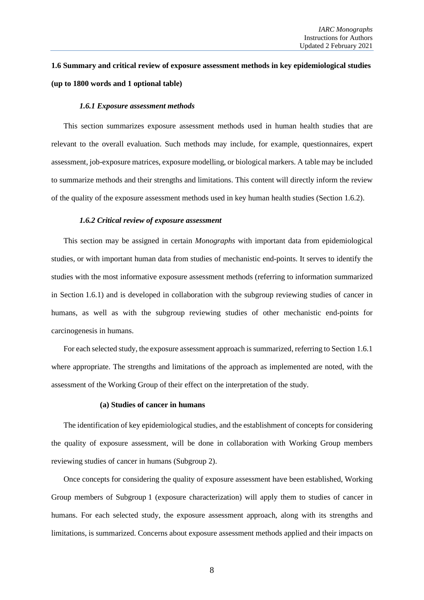# **1.6 Summary and critical review of exposure assessment methods in key epidemiological studies (up to 1800 words and 1 optional table)**

#### *1.6.1 Exposure assessment methods*

This section summarizes exposure assessment methods used in human health studies that are relevant to the overall evaluation. Such methods may include, for example, questionnaires, expert assessment, job-exposure matrices, exposure modelling, or biological markers. A table may be included to summarize methods and their strengths and limitations. This content will directly inform the review of the quality of the exposure assessment methods used in key human health studies (Section 1.6.2).

#### *1.6.2 Critical review of exposure assessment*

This section may be assigned in certain *Monographs* with important data from epidemiological studies, or with important human data from studies of mechanistic end-points. It serves to identify the studies with the most informative exposure assessment methods (referring to information summarized in Section 1.6.1) and is developed in collaboration with the subgroup reviewing studies of cancer in humans, as well as with the subgroup reviewing studies of other mechanistic end-points for carcinogenesis in humans.

For each selected study, the exposure assessment approach is summarized, referring to Section 1.6.1 where appropriate. The strengths and limitations of the approach as implemented are noted, with the assessment of the Working Group of their effect on the interpretation of the study.

### **(a) Studies of cancer in humans**

The identification of key epidemiological studies, and the establishment of concepts for considering the quality of exposure assessment, will be done in collaboration with Working Group members reviewing studies of cancer in humans (Subgroup 2).

Once concepts for considering the quality of exposure assessment have been established, Working Group members of Subgroup 1 (exposure characterization) will apply them to studies of cancer in humans. For each selected study, the exposure assessment approach, along with its strengths and limitations, is summarized. Concerns about exposure assessment methods applied and their impacts on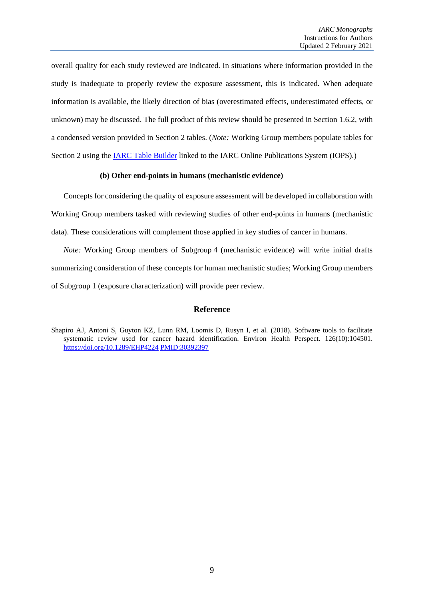overall quality for each study reviewed are indicated. In situations where information provided in the study is inadequate to properly review the exposure assessment, this is indicated. When adequate information is available, the likely direction of bias (overestimated effects, underestimated effects, or unknown) may be discussed. The full product of this review should be presented in Section 1.6.2, with a condensed version provided in Section 2 tables. (*Note:* Working Group members populate tables for Section 2 using the [IARC Table Builder](https://table-builder.com/) linked to the IARC Online Publications System (IOPS).)

# **(b) Other end-points in humans (mechanistic evidence)**

Concepts for considering the quality of exposure assessment will be developed in collaboration with Working Group members tasked with reviewing studies of other end-points in humans (mechanistic data). These considerations will complement those applied in key studies of cancer in humans.

*Note:* Working Group members of Subgroup 4 (mechanistic evidence) will write initial drafts summarizing consideration of these concepts for human mechanistic studies; Working Group members of Subgroup 1 (exposure characterization) will provide peer review.

# **Reference**

Shapiro AJ, Antoni S, Guyton KZ, Lunn RM, Loomis D, Rusyn I, et al. (2018). Software tools to facilitate systematic review used for cancer hazard identification. Environ Health Perspect. 126(10):104501. <https://doi.org/10.1289/EHP4224> [PMID:30392397](https://www.ncbi.nlm.nih.gov/pubmed/30392397)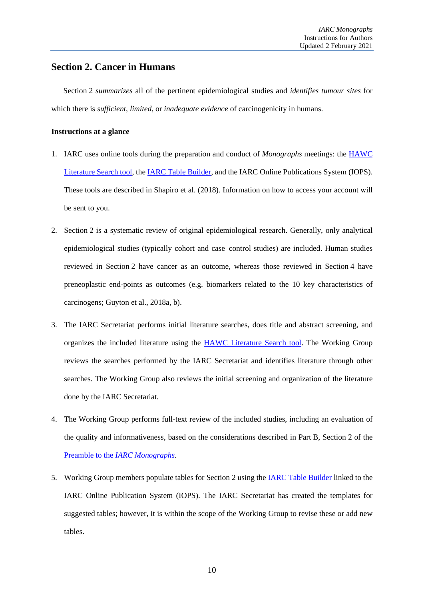# <span id="page-9-0"></span>**Section 2. Cancer in Humans**

Section 2 *summarizes* all of the pertinent epidemiological studies and *identifies tumour sites* for which there is *sufficient*, *limited*, or *inadequate evidence* of carcinogenicity in humans.

# **Instructions at a glance**

- 1. IARC uses online tools during the preparation and conduct of *Monographs* meetings: the [HAWC](https://hawcproject.iarc.who.int/)  [Literature Search tool,](https://hawcproject.iarc.who.int/) the [IARC Table Builder,](https://table-builder.com/) and the IARC Online Publications System (IOPS). These tools are described in Shapiro et al. (2018). Information on how to access your account will be sent to you.
- 2. Section 2 is a systematic review of original epidemiological research. Generally, only analytical epidemiological studies (typically cohort and case–control studies) are included. Human studies reviewed in Section 2 have cancer as an outcome, whereas those reviewed in Section 4 have preneoplastic end-points as outcomes (e.g. biomarkers related to the 10 key characteristics of carcinogens; Guyton et al., 2018a, b).
- 3. The IARC Secretariat performs initial literature searches, does title and abstract screening, and organizes the included literature using the [HAWC Literature Search tool.](https://hawcproject.iarc.who.int/) The Working Group reviews the searches performed by the IARC Secretariat and identifies literature through other searches. The Working Group also reviews the initial screening and organization of the literature done by the IARC Secretariat.
- 4. The Working Group performs full-text review of the included studies, including an evaluation of the quality and informativeness, based on the considerations described in Part B, Section 2 of the Preamble to the *[IARC Monographs](https://monographs.iarc.who.int/wp-content/uploads/2019/01/Preamble-2019.pdf)*.
- 5. Working Group members populate tables for Section 2 using the [IARC Table Builder](https://table-builder.com/) linked to the IARC Online Publication System (IOPS). The IARC Secretariat has created the templates for suggested tables; however, it is within the scope of the Working Group to revise these or add new tables.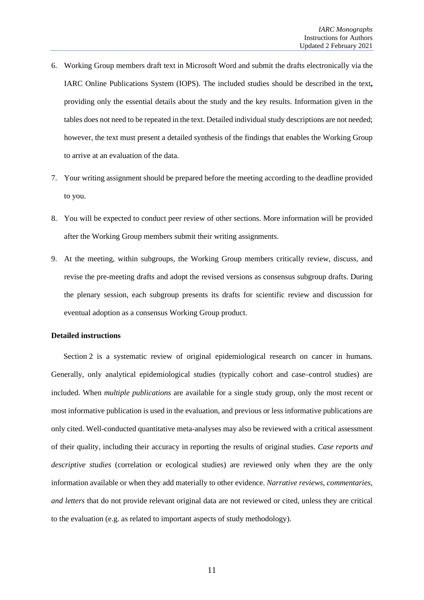- 6. Working Group members draft text in Microsoft Word and submit the drafts electronically via the IARC Online Publications System (IOPS). The included studies should be described in the text**,**  providing only the essential details about the study and the key results. Information given in the tables does not need to be repeated in the text. Detailed individual study descriptions are not needed; however, the text must present a detailed synthesis of the findings that enables the Working Group to arrive at an evaluation of the data.
- 7. Your writing assignment should be prepared before the meeting according to the deadline provided to you.
- 8. You will be expected to conduct peer review of other sections. More information will be provided after the Working Group members submit their writing assignments.
- 9. At the meeting, within subgroups, the Working Group members critically review, discuss, and revise the pre-meeting drafts and adopt the revised versions as consensus subgroup drafts. During the plenary session, each subgroup presents its drafts for scientific review and discussion for eventual adoption as a consensus Working Group product.

#### **Detailed instructions**

Section 2 is a systematic review of original epidemiological research on cancer in humans. Generally, only analytical epidemiological studies (typically cohort and case–control studies) are included. When *multiple publications* are available for a single study group, only the most recent or most informative publication is used in the evaluation, and previous or less informative publications are only cited. Well-conducted quantitative meta-analyses may also be reviewed with a critical assessment of their quality, including their accuracy in reporting the results of original studies. *Case reports and descriptive studies* (correlation or ecological studies) are reviewed only when they are the only information available or when they add materially to other evidence. *Narrative reviews*, *commentaries*, *and letters* that do not provide relevant original data are not reviewed or cited, unless they are critical to the evaluation (e.g. as related to important aspects of study methodology).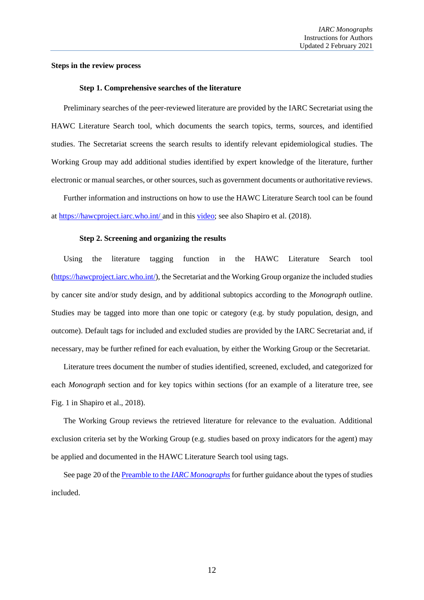#### **Steps in the review process**

#### **Step 1. Comprehensive searches of the literature**

Preliminary searches of the peer-reviewed literature are provided by the IARC Secretariat using the HAWC Literature Search tool, which documents the search topics, terms, sources, and identified studies. The Secretariat screens the search results to identify relevant epidemiological studies. The Working Group may add additional studies identified by expert knowledge of the literature, further electronic or manual searches, or other sources, such as government documents or authoritative reviews.

Further information and instructions on how to use the HAWC Literature Search tool can be found at [https://hawcproject.iarc.who.int/ a](https://hawcproject.iarc.who.int/)nd in this [video;](https://www.youtube.com/watch?v=rGvvHqA_QcI&feature=youtu.be) see also Shapiro et al. (2018).

# **Step 2. Screening and organizing the results**

Using the literature tagging function in the HAWC Literature Search tool [\(https://hawcproject.iarc.who.int/\)](https://hawcproject.iarc.who.int/), the Secretariat and the Working Group organize the included studies by cancer site and/or study design, and by additional subtopics according to the *Monograph* outline. Studies may be tagged into more than one topic or category (e.g. by study population, design, and outcome). Default tags for included and excluded studies are provided by the IARC Secretariat and, if necessary, may be further refined for each evaluation, by either the Working Group or the Secretariat.

Literature trees document the number of studies identified, screened, excluded, and categorized for each *Monograph* section and for key topics within sections (for an example of a literature tree, see Fig. 1 in Shapiro et al., 2018).

The Working Group reviews the retrieved literature for relevance to the evaluation. Additional exclusion criteria set by the Working Group (e.g. studies based on proxy indicators for the agent) may be applied and documented in the HAWC Literature Search tool using tags.

See page 20 of the **Preamble to the** *[IARC Monographs](https://monographs.iarc.who.int/wp-content/uploads/2019/01/Preamble-2019.pdf)* for further guidance about the types of studies included.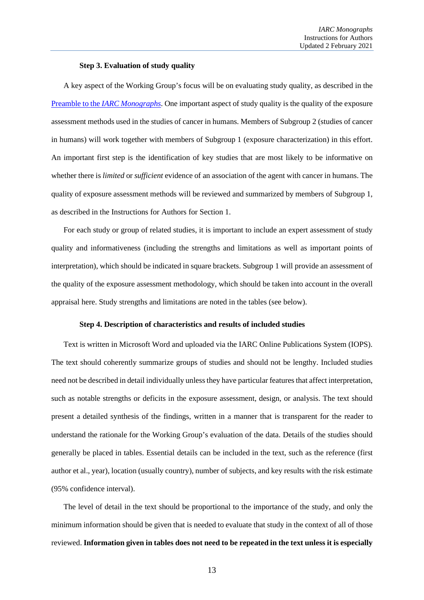#### **Step 3. Evaluation of study quality**

A key aspect of the Working Group's focus will be on evaluating study quality, as described in the Preamble to the *[IARC Monographs](https://monographs.iarc.who.int/wp-content/uploads/2019/01/Preamble-2019.pdf)*. One important aspect of study quality is the quality of the exposure assessment methods used in the studies of cancer in humans. Members of Subgroup 2 (studies of cancer in humans) will work together with members of Subgroup 1 (exposure characterization) in this effort. An important first step is the identification of key studies that are most likely to be informative on whether there is *limited* or *sufficient* evidence of an association of the agent with cancer in humans. The quality of exposure assessment methods will be reviewed and summarized by members of Subgroup 1, as described in the Instructions for Authors for Section 1.

For each study or group of related studies, it is important to include an expert assessment of study quality and informativeness (including the strengths and limitations as well as important points of interpretation), which should be indicated in square brackets. Subgroup 1 will provide an assessment of the quality of the exposure assessment methodology, which should be taken into account in the overall appraisal here. Study strengths and limitations are noted in the tables (see below).

#### **Step 4. Description of characteristics and results of included studies**

Text is written in Microsoft Word and uploaded via the IARC Online Publications System (IOPS). The text should coherently summarize groups of studies and should not be lengthy. Included studies need not be described in detail individually unless they have particular features that affect interpretation, such as notable strengths or deficits in the exposure assessment, design, or analysis. The text should present a detailed synthesis of the findings, written in a manner that is transparent for the reader to understand the rationale for the Working Group's evaluation of the data. Details of the studies should generally be placed in tables. Essential details can be included in the text, such as the reference (first author et al., year), location (usually country), number of subjects, and key results with the risk estimate (95% confidence interval).

The level of detail in the text should be proportional to the importance of the study, and only the minimum information should be given that is needed to evaluate that study in the context of all of those reviewed. **Information given in tables does not need to be repeated in the text unless it is especially**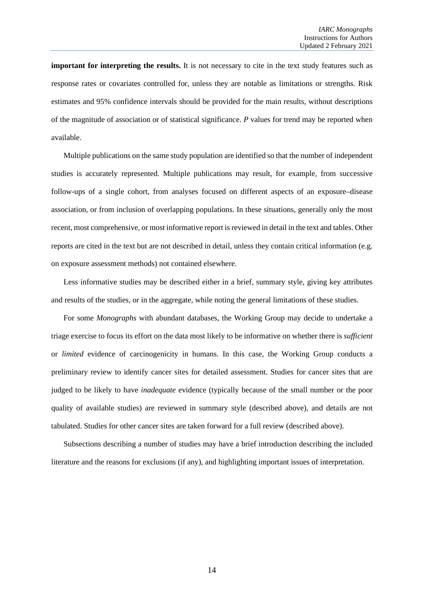**important for interpreting the results.** It is not necessary to cite in the text study features such as response rates or covariates controlled for, unless they are notable as limitations or strengths. Risk estimates and 95% confidence intervals should be provided for the main results, without descriptions of the magnitude of association or of statistical significance. *P* values for trend may be reported when available.

Multiple publications on the same study population are identified so that the number of independent studies is accurately represented. Multiple publications may result, for example, from successive follow-ups of a single cohort, from analyses focused on different aspects of an exposure–disease association, or from inclusion of overlapping populations. In these situations, generally only the most recent, most comprehensive, or most informative report is reviewed in detail in the text and tables. Other reports are cited in the text but are not described in detail, unless they contain critical information (e.g. on exposure assessment methods) not contained elsewhere.

Less informative studies may be described either in a brief, summary style, giving key attributes and results of the studies, or in the aggregate, while noting the general limitations of these studies.

For some *Monographs* with abundant databases, the Working Group may decide to undertake a triage exercise to focus its effort on the data most likely to be informative on whether there is *sufficient* or *limited* evidence of carcinogenicity in humans. In this case, the Working Group conducts a preliminary review to identify cancer sites for detailed assessment. Studies for cancer sites that are judged to be likely to have *inadequate* evidence (typically because of the small number or the poor quality of available studies) are reviewed in summary style (described above), and details are not tabulated. Studies for other cancer sites are taken forward for a full review (described above).

Subsections describing a number of studies may have a brief introduction describing the included literature and the reasons for exclusions (if any), and highlighting important issues of interpretation.

14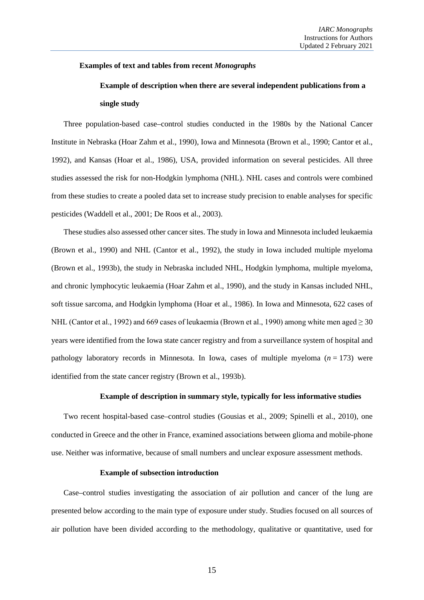#### **Examples of text and tables from recent** *Monographs*

# **Example of description when there are several independent publications from a single study**

Three population-based case–control studies conducted in the 1980s by the National Cancer Institute in Nebraska (Hoar Zahm et al., 1990), Iowa and Minnesota (Brown et al., 1990; Cantor et al., 1992), and Kansas (Hoar et al., 1986), USA, provided information on several pesticides. All three studies assessed the risk for non-Hodgkin lymphoma (NHL). NHL cases and controls were combined from these studies to create a pooled data set to increase study precision to enable analyses for specific pesticides (Waddell et al., 2001; De Roos et al., 2003).

These studies also assessed other cancer sites. The study in Iowa and Minnesota included leukaemia (Brown et al., 1990) and NHL (Cantor et al., 1992), the study in Iowa included multiple myeloma (Brown et al., 1993b), the study in Nebraska included NHL, Hodgkin lymphoma, multiple myeloma, and chronic lymphocytic leukaemia (Hoar Zahm et al., 1990), and the study in Kansas included NHL, soft tissue sarcoma, and Hodgkin lymphoma (Hoar et al., 1986). In Iowa and Minnesota, 622 cases of NHL (Cantor et al., 1992) and 669 cases of leukaemia (Brown et al., 1990) among white men aged  $\geq$  30 years were identified from the Iowa state cancer registry and from a surveillance system of hospital and pathology laboratory records in Minnesota. In Iowa, cases of multiple myeloma (*n* = 173) were identified from the state cancer registry (Brown et al., 1993b).

# **Example of description in summary style, typically for less informative studies**

Two recent hospital-based case–control studies (Gousias et al., 2009; Spinelli et al., 2010), one conducted in Greece and the other in France, examined associations between glioma and mobile-phone use. Neither was informative, because of small numbers and unclear exposure assessment methods.

#### **Example of subsection introduction**

Case–control studies investigating the association of air pollution and cancer of the lung are presented below according to the main type of exposure under study. Studies focused on all sources of air pollution have been divided according to the methodology, qualitative or quantitative, used for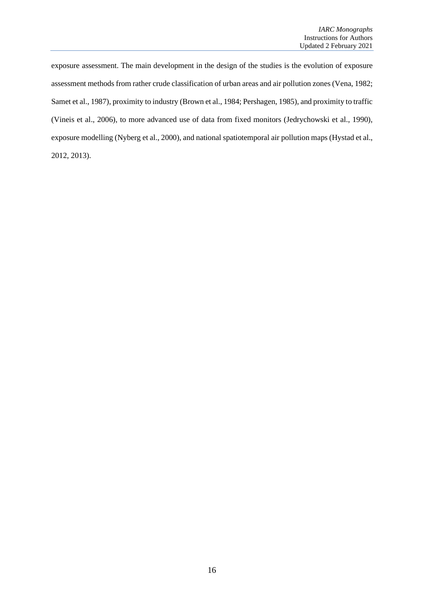exposure assessment. The main development in the design of the studies is the evolution of exposure assessment methods from rather crude classification of urban areas and air pollution zones (Vena, 1982; Samet et al., 1987), proximity to industry (Brown et al., 1984; Pershagen, 1985), and proximity to traffic (Vineis et al., 2006), to more advanced use of data from fixed monitors (Jedrychowski et al., 1990), exposure modelling (Nyberg et al., 2000), and national spatiotemporal air pollution maps (Hystad et al., 2012, 2013).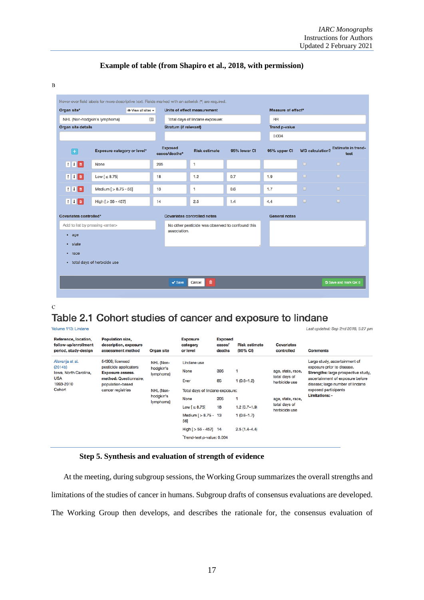Last updated: Sep 2nd 2018, 5:27 pm



#### **Example of table (from Shapiro et al., 2018, with permission)**

 $\overline{C}$ 

# Table 2.1 Cohort studies of cancer and exposure to lindane

Volume 113: Lindane

Reference, location, **Population size, Exposure Exposed** follow-up/enrollment description, exposure category cases/ **Risk estimate Covariates** period, study-design assessment method (95% CI) controlled **Comments Organ site** or level deaths Alavania et al. 54306; licensed Large study, ascertainment of NHL (Non-Lindane use  $(2014b)$ pesticide applicators exposure prior to disease. hodgkin's age, state, race, None 396  $\mathbf{1}$ lowa, North Carolina, **Exposure assess.** lymphoma) Strengths: large prospective study. total days of **USA** method: Questionnaire; ascertainment of exposure before 85  $1(0.8 - 1.2)$ Ever herbicide use 1993-2010 population-based disease; large number of lindane Cohort cancer registries exposed participants NHL (Non-Total days of lindane exposure: Limitations: hodgkin's 205 age, state, race, None  $\mathbf{1}$ lymphoma) total days of Low  $[ \leq 8.75]$ 18  $1.2(0.7-1.9)$ herbicide use Medium  $[ > 8.75 - 13]$  $1(0.6-1.7)$ 561  $Hiah [ > 56 - 457]$  14  $2.5(1.4-4.4)$ Trend-test p-value: 0.004

# **Step 5. Synthesis and evaluation of strength of evidence**

At the meeting, during subgroup sessions, the Working Group summarizes the overall strengths and limitations of the studies of cancer in humans. Subgroup drafts of consensus evaluations are developed. The Working Group then develops, and describes the rationale for, the consensus evaluation of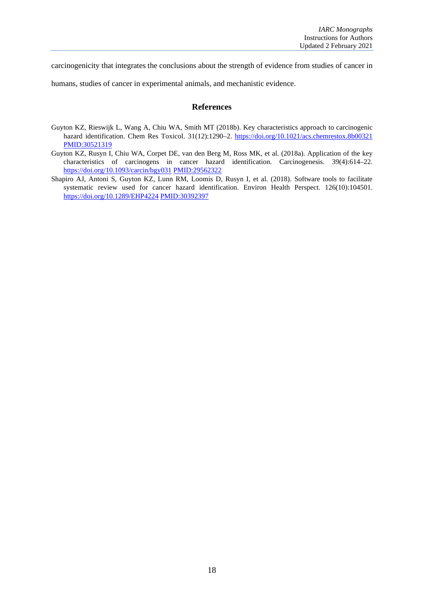carcinogenicity that integrates the conclusions about the strength of evidence from studies of cancer in

humans, studies of cancer in experimental animals, and mechanistic evidence.

# **References**

- Guyton KZ, Rieswijk L, Wang A, Chiu WA, Smith MT (2018b). Key characteristics approach to carcinogenic hazard identification. Chem Res Toxicol. 31(12):1290–2.<https://doi.org/10.1021/acs.chemrestox.8b00321> [PMID:30521319](https://www.ncbi.nlm.nih.gov/entrez/query.fcgi?cmd=Retrieve&db=PubMed&list_uids=30521319&dopt=Abstract)
- Guyton KZ, Rusyn I, Chiu WA, Corpet DE, van den Berg M, Ross MK, et al. (2018a). Application of the key characteristics of carcinogens in cancer hazard identification. Carcinogenesis. 39(4):614–22. <https://doi.org/10.1093/carcin/bgy031> [PMID:29562322](https://www.ncbi.nlm.nih.gov/entrez/query.fcgi?cmd=Retrieve&db=PubMed&list_uids=29562322&dopt=Abstract)
- Shapiro AJ, Antoni S, Guyton KZ, Lunn RM, Loomis D, Rusyn I, et al. (2018). Software tools to facilitate systematic review used for cancer hazard identification. Environ Health Perspect. 126(10):104501. <https://doi.org/10.1289/EHP4224> [PMID:30392397](https://www.ncbi.nlm.nih.gov/pubmed/30392397)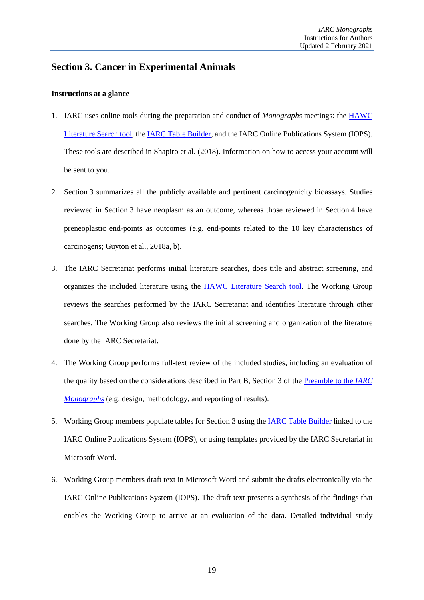# <span id="page-18-0"></span>**Section 3. Cancer in Experimental Animals**

# **Instructions at a glance**

- 1. IARC uses online tools during the preparation and conduct of *Monographs* meetings: the [HAWC](https://hawcproject.iarc.who.int/)  [Literature Search tool,](https://hawcproject.iarc.who.int/) the [IARC Table Builder,](https://table-builder.com/) and the IARC Online Publications System (IOPS). These tools are described in Shapiro et al. (2018). Information on how to access your account will be sent to you.
- 2. Section 3 summarizes all the publicly available and pertinent carcinogenicity bioassays. Studies reviewed in Section 3 have neoplasm as an outcome, whereas those reviewed in Section 4 have preneoplastic end-points as outcomes (e.g. end-points related to the 10 key characteristics of carcinogens; Guyton et al., 2018a, b).
- 3. The IARC Secretariat performs initial literature searches, does title and abstract screening, and organizes the included literature using the [HAWC Literature Search tool.](https://hawcproject.iarc.who.int/) The Working Group reviews the searches performed by the IARC Secretariat and identifies literature through other searches. The Working Group also reviews the initial screening and organization of the literature done by the IARC Secretariat.
- 4. The Working Group performs full-text review of the included studies, including an evaluation of the quality based on the considerations described in Part B, Section 3 of the [Preamble to the](https://monographs.iarc.who.int/wp-content/uploads/2019/01/Preamble-2019.pdf) *IARC [Monographs](https://monographs.iarc.who.int/wp-content/uploads/2019/01/Preamble-2019.pdf)* (e.g. design, methodology, and reporting of results).
- 5. Working Group members populate tables for Section 3 using the [IARC Table Builder](https://table-builder.com/) linked to the IARC Online Publications System (IOPS), or using templates provided by the IARC Secretariat in Microsoft Word.
- 6. Working Group members draft text in Microsoft Word and submit the drafts electronically via the IARC Online Publications System (IOPS). The draft text presents a synthesis of the findings that enables the Working Group to arrive at an evaluation of the data. Detailed individual study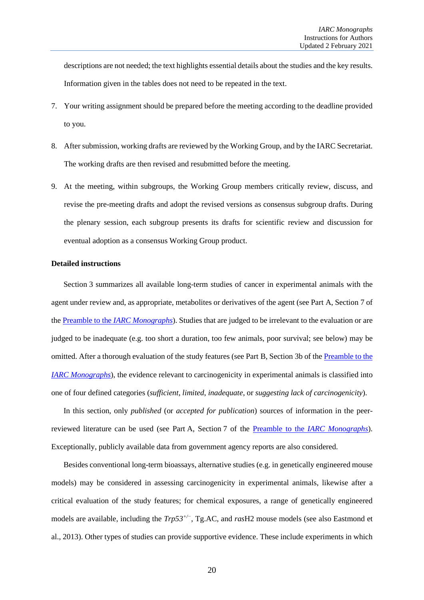descriptions are not needed; the text highlights essential details about the studies and the key results. Information given in the tables does not need to be repeated in the text.

- 7. Your writing assignment should be prepared before the meeting according to the deadline provided to you.
- 8. After submission, working drafts are reviewed by the Working Group, and by the IARC Secretariat. The working drafts are then revised and resubmitted before the meeting.
- 9. At the meeting, within subgroups, the Working Group members critically review, discuss, and revise the pre-meeting drafts and adopt the revised versions as consensus subgroup drafts. During the plenary session, each subgroup presents its drafts for scientific review and discussion for eventual adoption as a consensus Working Group product.

# **Detailed instructions**

Section 3 summarizes all available long-term studies of cancer in experimental animals with the agent under review and, as appropriate, metabolites or derivatives of the agent (see Part A, Section 7 of the Preamble to the *[IARC Monographs](https://monographs.iarc.who.int/wp-content/uploads/2019/01/Preamble-2019.pdf)*). Studies that are judged to be irrelevant to the evaluation or are judged to be inadequate (e.g. too short a duration, too few animals, poor survival; see below) may be omitted. After a thorough evaluation of the study features (see Part B, Section 3b of the [Preamble to the](https://monographs.iarc.who.int/wp-content/uploads/2019/01/Preamble-2019.pdf)  *[IARC Monographs](https://monographs.iarc.who.int/wp-content/uploads/2019/01/Preamble-2019.pdf)*), the evidence relevant to carcinogenicity in experimental animals is classified into one of four defined categories (*sufficient*, *limited*, *inadequate*, or *suggesting lack of carcinogenicity*).

In this section, only *published* (or *accepted for publication*) sources of information in the peerreviewed literature can be used (see Part A, Section 7 of the Preamble to the *[IARC Monographs](https://monographs.iarc.who.int/wp-content/uploads/2019/01/Preamble-2019.pdf)*). Exceptionally, publicly available data from government agency reports are also considered.

Besides conventional long-term bioassays, alternative studies (e.g. in genetically engineered mouse models) may be considered in assessing carcinogenicity in experimental animals, likewise after a critical evaluation of the study features; for chemical exposures, a range of genetically engineered models are available, including the *Trp53+/<sup>−</sup>*, Tg.AC, and *ras*H2 mouse models (see also Eastmond et al., 2013). Other types of studies can provide supportive evidence. These include experiments in which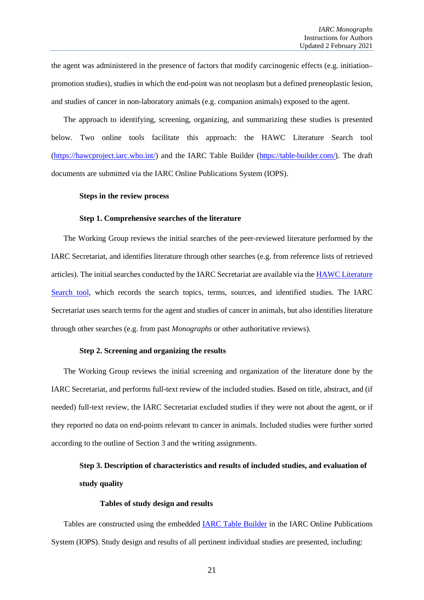the agent was administered in the presence of factors that modify carcinogenic effects (e.g. initiation– promotion studies), studies in which the end-point was not neoplasm but a defined preneoplastic lesion, and studies of cancer in non-laboratory animals (e.g. companion animals) exposed to the agent.

The approach to identifying, screening, organizing, and summarizing these studies is presented below. Two online tools facilitate this approach: the HAWC Literature Search tool [\(https://hawcproject.iarc.who.int/\)](https://hawcproject.iarc.who.int/) and the IARC Table Builder [\(https://table-builder.com/\)](https://table-builder.com/). The draft documents are submitted via the IARC Online Publications System (IOPS).

#### **Steps in the review process**

#### **Step 1. Comprehensive searches of the literature**

The Working Group reviews the initial searches of the peer-reviewed literature performed by the IARC Secretariat, and identifies literature through other searches (e.g. from reference lists of retrieved articles). The initial searches conducted by the IARC Secretariat are available via the [HAWC Literature](https://hawcproject.iarc.who.int/)  [Search t](https://hawcproject.iarc.who.int/)ool, which records the search topics, terms, sources, and identified studies. The IARC Secretariat uses search terms for the agent and studies of cancer in animals, but also identifies literature through other searches (e.g. from past *Monographs* or other authoritative reviews).

#### **Step 2. Screening and organizing the results**

The Working Group reviews the initial screening and organization of the literature done by the IARC Secretariat, and performs full-text review of the included studies. Based on title, abstract, and (if needed) full-text review, the IARC Secretariat excluded studies if they were not about the agent, or if they reported no data on end-points relevant to cancer in animals. Included studies were further sorted according to the outline of Section 3 and the writing assignments.

# **Step 3. Description of characteristics and results of included studies, and evaluation of study quality**

#### **Tables of study design and results**

Tables are constructed using the embedded [IARC Table Builder](https://table-builder.com/) in the IARC Online Publications System (IOPS). Study design and results of all pertinent individual studies are presented, including: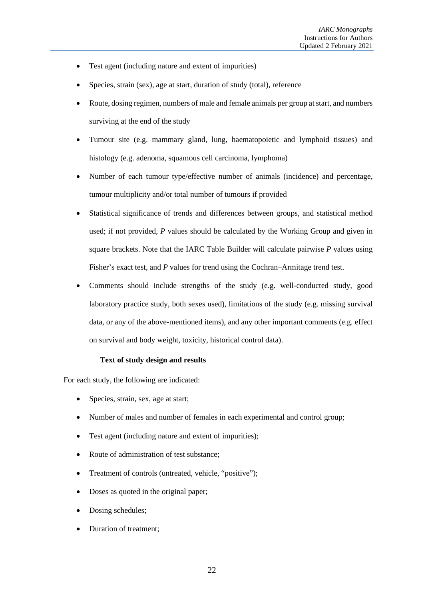- Test agent (including nature and extent of impurities)
- Species, strain (sex), age at start, duration of study (total), reference
- Route, dosing regimen, numbers of male and female animals per group at start, and numbers surviving at the end of the study
- Tumour site (e.g. mammary gland, lung, haematopoietic and lymphoid tissues) and histology (e.g. adenoma, squamous cell carcinoma, lymphoma)
- Number of each tumour type/effective number of animals (incidence) and percentage, tumour multiplicity and/or total number of tumours if provided
- Statistical significance of trends and differences between groups, and statistical method used; if not provided, *P* values should be calculated by the Working Group and given in square brackets. Note that the IARC Table Builder will calculate pairwise *P* values using Fisher's exact test, and *P* values for trend using the Cochran–Armitage trend test.
- Comments should include strengths of the study (e.g. well-conducted study, good laboratory practice study, both sexes used), limitations of the study (e.g. missing survival data, or any of the above-mentioned items), and any other important comments (e.g. effect on survival and body weight, toxicity, historical control data).

# **Text of study design and results**

For each study, the following are indicated:

- Species, strain, sex, age at start;
- Number of males and number of females in each experimental and control group;
- Test agent (including nature and extent of impurities);
- Route of administration of test substance;
- Treatment of controls (untreated, vehicle, "positive");
- Doses as quoted in the original paper;
- Dosing schedules;
- Duration of treatment;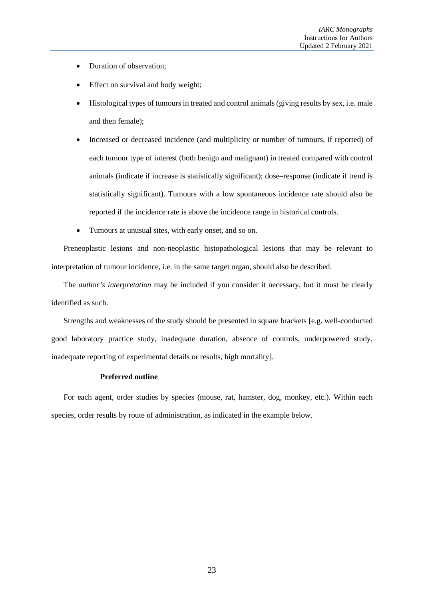- Duration of observation:
- Effect on survival and body weight;
- Histological types of tumours in treated and control animals (giving results by sex, i.e. male and then female);
- Increased or decreased incidence (and multiplicity or number of tumours, if reported) of each tumour type of interest (both benign and malignant) in treated compared with control animals (indicate if increase is statistically significant); dose–response (indicate if trend is statistically significant). Tumours with a low spontaneous incidence rate should also be reported if the incidence rate is above the incidence range in historical controls.
- Tumours at unusual sites, with early onset, and so on.

Preneoplastic lesions and non-neoplastic histopathological lesions that may be relevant to interpretation of tumour incidence, i.e. in the same target organ, should also be described.

The *author's interpretation* may be included if you consider it necessary, but it must be clearly identified as such.

Strengths and weaknesses of the study should be presented in square brackets [e.g. well-conducted good laboratory practice study, inadequate duration, absence of controls, underpowered study, inadequate reporting of experimental details or results, high mortality].

# **Preferred outline**

For each agent, order studies by species (mouse, rat, hamster, dog, monkey, etc.). Within each species, order results by route of administration, as indicated in the example below.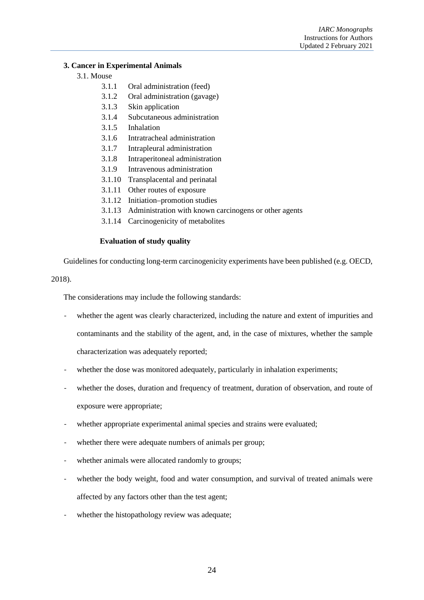# **3. Cancer in Experimental Animals**

- 3.1. Mouse
	- 3.1.1 Oral administration (feed)
	- 3.1.2 Oral administration (gavage)
	- 3.1.3 Skin application
	- 3.1.4 Subcutaneous administration
	- 3.1.5 Inhalation
	- 3.1.6 Intratracheal administration
	- 3.1.7 Intrapleural administration
	- 3.1.8 Intraperitoneal administration
	- 3.1.9 Intravenous administration
	- 3.1.10 Transplacental and perinatal
	- 3.1.11 Other routes of exposure
	- 3.1.12 Initiation–promotion studies
	- 3.1.13 Administration with known carcinogens or other agents
	- 3.1.14 Carcinogenicity of metabolites

# **Evaluation of study quality**

Guidelines for conducting long-term carcinogenicity experiments have been published (e.g. OECD,

## 2018).

The considerations may include the following standards:

- whether the agent was clearly characterized, including the nature and extent of impurities and contaminants and the stability of the agent, and, in the case of mixtures, whether the sample characterization was adequately reported;
- whether the dose was monitored adequately, particularly in inhalation experiments;
- whether the doses, duration and frequency of treatment, duration of observation, and route of exposure were appropriate;
- whether appropriate experimental animal species and strains were evaluated;
- whether there were adequate numbers of animals per group;
- whether animals were allocated randomly to groups;
- whether the body weight, food and water consumption, and survival of treated animals were affected by any factors other than the test agent;
- whether the histopathology review was adequate;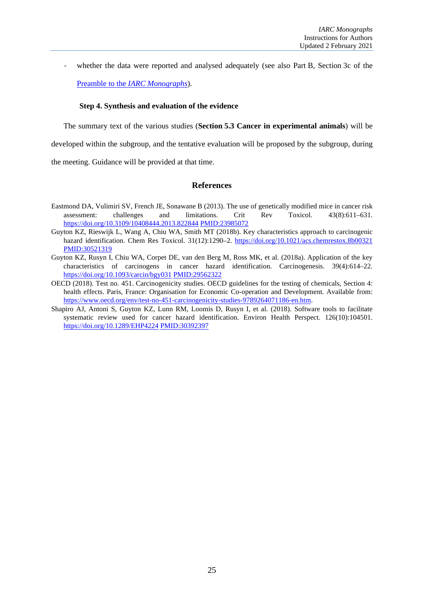whether the data were reported and analysed adequately (see also Part B, Section 3c of the Preamble to the *[IARC Monographs](https://monographs.iarc.who.int/wp-content/uploads/2019/01/Preamble-2019.pdf)*).

### **Step 4. Synthesis and evaluation of the evidence**

The summary text of the various studies (**Section 5.3 Cancer in experimental animals**) will be

developed within the subgroup, and the tentative evaluation will be proposed by the subgroup, during

the meeting. Guidance will be provided at that time.

# **References**

- Eastmond DA, Vulimiri SV, French JE, Sonawane B (2013). The use of genetically modified mice in cancer risk assessment: challenges and limitations. Crit Rev Toxicol. 43(8):611–631. <https://doi.org/10.3109/10408444.2013.822844> [PMID:23985072](https://www.ncbi.nlm.nih.gov/pubmed/?term=23985072)
- Guyton KZ, Rieswijk L, Wang A, Chiu WA, Smith MT (2018b). Key characteristics approach to carcinogenic hazard identification. Chem Res Toxicol. 31(12):1290-2.<https://doi.org/10.1021/acs.chemrestox.8b00321> [PMID:30521319](https://www.ncbi.nlm.nih.gov/entrez/query.fcgi?cmd=Retrieve&db=PubMed&list_uids=30521319&dopt=Abstract)
- Guyton KZ, Rusyn I, Chiu WA, Corpet DE, van den Berg M, Ross MK, et al. (2018a). Application of the key characteristics of carcinogens in cancer hazard identification. Carcinogenesis. 39(4):614–22. <https://doi.org/10.1093/carcin/bgy031> [PMID:29562322](https://www.ncbi.nlm.nih.gov/entrez/query.fcgi?cmd=Retrieve&db=PubMed&list_uids=29562322&dopt=Abstract)
- OECD (2018). Test no. 451. Carcinogenicity studies. OECD guidelines for the testing of chemicals, Section 4: health effects. Paris, France: Organisation for Economic Co-operation and Development. Available from: [https://www.oecd.org/env/test-no-451-carcinogenicity-studies-9789264071186-en.htm.](https://www.oecd.org/env/test-no-451-carcinogenicity-studies-9789264071186-en.htm)
- Shapiro AJ, Antoni S, Guyton KZ, Lunn RM, Loomis D, Rusyn I, et al. (2018). Software tools to facilitate systematic review used for cancer hazard identification. Environ Health Perspect. 126(10):104501. <https://doi.org/10.1289/EHP4224> [PMID:30392397](https://www.ncbi.nlm.nih.gov/pubmed/30392397)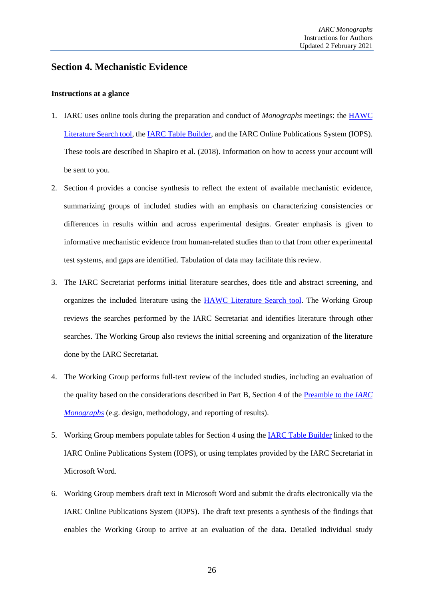# <span id="page-25-0"></span>**Section 4. Mechanistic Evidence**

### **Instructions at a glance**

- 1. IARC uses online tools during the preparation and conduct of *Monographs* meetings: the [HAWC](https://hawcproject.iarc.who.int/)  [Literature Search tool,](https://hawcproject.iarc.who.int/) the [IARC Table Builder,](https://table-builder.com/) and the IARC Online Publications System (IOPS). These tools are described in Shapiro et al. (2018). Information on how to access your account will be sent to you.
- 2. Section 4 provides a concise synthesis to reflect the extent of available mechanistic evidence, summarizing groups of included studies with an emphasis on characterizing consistencies or differences in results within and across experimental designs. Greater emphasis is given to informative mechanistic evidence from human-related studies than to that from other experimental test systems, and gaps are identified. Tabulation of data may facilitate this review.
- 3. The IARC Secretariat performs initial literature searches, does title and abstract screening, and organizes the included literature using the [HAWC Literature Search tool.](https://hawcproject.iarc.who.int/) The Working Group reviews the searches performed by the IARC Secretariat and identifies literature through other searches. The Working Group also reviews the initial screening and organization of the literature done by the IARC Secretariat.
- 4. The Working Group performs full-text review of the included studies, including an evaluation of the quality based on the considerations described in Part B, Section 4 of the [Preamble to the](https://monographs.iarc.who.int/wp-content/uploads/2019/01/Preamble-2019.pdf) *IARC [Monographs](https://monographs.iarc.who.int/wp-content/uploads/2019/01/Preamble-2019.pdf)* (e.g. design, methodology, and reporting of results).
- 5. Working Group members populate tables for Section 4 using the [IARC Table Builder](https://table-builder.com/) linked to the IARC Online Publications System (IOPS), or using templates provided by the IARC Secretariat in Microsoft Word.
- 6. Working Group members draft text in Microsoft Word and submit the drafts electronically via the IARC Online Publications System (IOPS). The draft text presents a synthesis of the findings that enables the Working Group to arrive at an evaluation of the data. Detailed individual study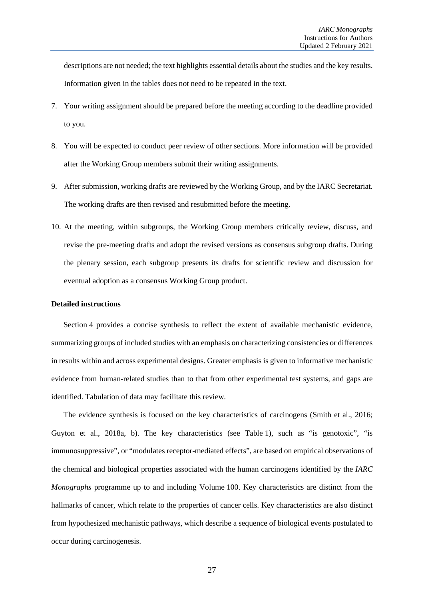descriptions are not needed; the text highlights essential details about the studies and the key results. Information given in the tables does not need to be repeated in the text.

- 7. Your writing assignment should be prepared before the meeting according to the deadline provided to you.
- 8. You will be expected to conduct peer review of other sections. More information will be provided after the Working Group members submit their writing assignments.
- 9. After submission, working drafts are reviewed by the Working Group, and by the IARC Secretariat. The working drafts are then revised and resubmitted before the meeting.
- 10. At the meeting, within subgroups, the Working Group members critically review, discuss, and revise the pre-meeting drafts and adopt the revised versions as consensus subgroup drafts. During the plenary session, each subgroup presents its drafts for scientific review and discussion for eventual adoption as a consensus Working Group product.

#### **Detailed instructions**

Section 4 provides a concise synthesis to reflect the extent of available mechanistic evidence, summarizing groups of included studies with an emphasis on characterizing consistencies or differences in results within and across experimental designs. Greater emphasis is given to informative mechanistic evidence from human-related studies than to that from other experimental test systems, and gaps are identified. Tabulation of data may facilitate this review.

The evidence synthesis is focused on the key characteristics of carcinogens (Smith et al., 2016; Guyton et al., 2018a, b). The key characteristics (see Table 1), such as "is genotoxic", "is immunosuppressive", or "modulates receptor-mediated effects", are based on empirical observations of the chemical and biological properties associated with the human carcinogens identified by the *IARC Monographs* programme up to and including Volume 100. Key characteristics are distinct from the hallmarks of cancer, which relate to the properties of cancer cells. Key characteristics are also distinct from hypothesized mechanistic pathways, which describe a sequence of biological events postulated to occur during carcinogenesis.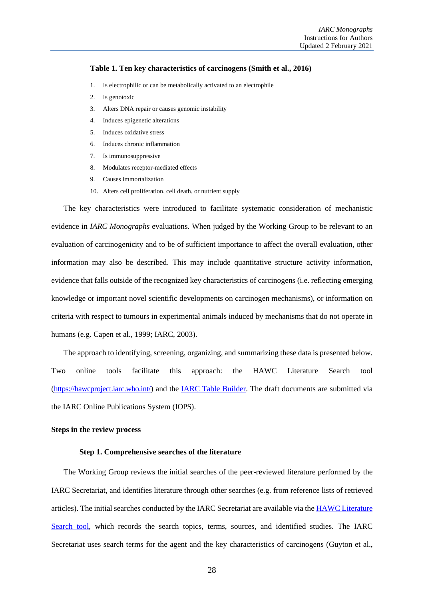#### **Table 1. Ten key characteristics of carcinogens (Smith et al., 2016)**

- 1. Is electrophilic or can be metabolically activated to an electrophile
- 2. Is genotoxic
- 3. Alters DNA repair or causes genomic instability
- 4. Induces epigenetic alterations
- 5. Induces oxidative stress
- 6. Induces chronic inflammation
- 7. Is immunosuppressive
- 8. Modulates receptor-mediated effects
- 9. Causes immortalization
- 10. Alters cell proliferation, cell death, or nutrient supply

The key characteristics were introduced to facilitate systematic consideration of mechanistic evidence in *IARC Monographs* evaluations. When judged by the Working Group to be relevant to an evaluation of carcinogenicity and to be of sufficient importance to affect the overall evaluation, other information may also be described. This may include quantitative structure–activity information, evidence that falls outside of the recognized key characteristics of carcinogens (i.e. reflecting emerging knowledge or important novel scientific developments on carcinogen mechanisms), or information on criteria with respect to tumours in experimental animals induced by mechanisms that do not operate in humans (e.g. Capen et al., 1999; IARC, 2003).

The approach to identifying, screening, organizing, and summarizing these data is presented below. Two online tools facilitate this approach: the HAWC Literature Search tool [\(https://hawcproject.iarc.who.int/\)](https://hawcproject.iarc.who.int/) and the [IARC Table Builder.](https://table-builder.com/) The draft documents are submitted via the IARC Online Publications System (IOPS).

#### **Steps in the review process**

#### **Step 1. Comprehensive searches of the literature**

The Working Group reviews the initial searches of the peer-reviewed literature performed by the IARC Secretariat, and identifies literature through other searches (e.g. from reference lists of retrieved articles). The initial searches conducted by the IARC Secretariat are available via the [HAWC Literature](https://hawcproject.iarc.who.int/)  [Search tool,](https://hawcproject.iarc.who.int/) which records the search topics, terms, sources, and identified studies. The IARC Secretariat uses search terms for the agent and the key characteristics of carcinogens (Guyton et al.,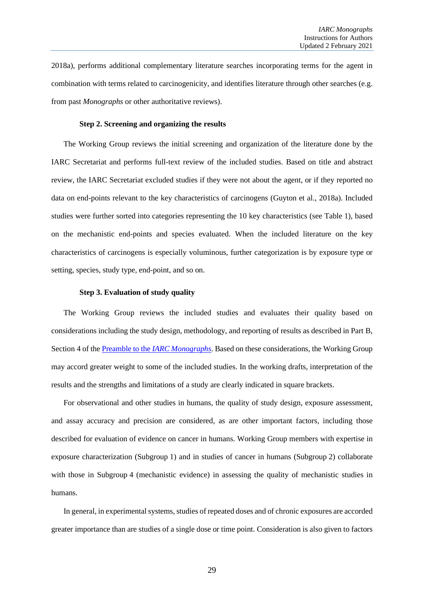2018a), performs additional complementary literature searches incorporating terms for the agent in combination with terms related to carcinogenicity, and identifies literature through other searches (e.g. from past *Monographs* or other authoritative reviews).

#### **Step 2. Screening and organizing the results**

The Working Group reviews the initial screening and organization of the literature done by the IARC Secretariat and performs full-text review of the included studies. Based on title and abstract review, the IARC Secretariat excluded studies if they were not about the agent, or if they reported no data on end-points relevant to the key characteristics of carcinogens (Guyton et al., 2018a). Included studies were further sorted into categories representing the 10 key characteristics (see Table 1), based on the mechanistic end-points and species evaluated. When the included literature on the key characteristics of carcinogens is especially voluminous, further categorization is by exposure type or setting, species, study type, end-point, and so on.

#### **Step 3. Evaluation of study quality**

The Working Group reviews the included studies and evaluates their quality based on considerations including the study design, methodology, and reporting of results as described in Part B, Section 4 of the Preamble to the *[IARC Monographs](https://monographs.iarc.who.int/wp-content/uploads/2019/01/Preamble-2019.pdf)*. Based on these considerations, the Working Group may accord greater weight to some of the included studies. In the working drafts, interpretation of the results and the strengths and limitations of a study are clearly indicated in square brackets.

For observational and other studies in humans, the quality of study design, exposure assessment, and assay accuracy and precision are considered, as are other important factors, including those described for evaluation of evidence on cancer in humans. Working Group members with expertise in exposure characterization (Subgroup 1) and in studies of cancer in humans (Subgroup 2) collaborate with those in Subgroup 4 (mechanistic evidence) in assessing the quality of mechanistic studies in humans.

In general, in experimental systems, studies of repeated doses and of chronic exposures are accorded greater importance than are studies of a single dose or time point. Consideration is also given to factors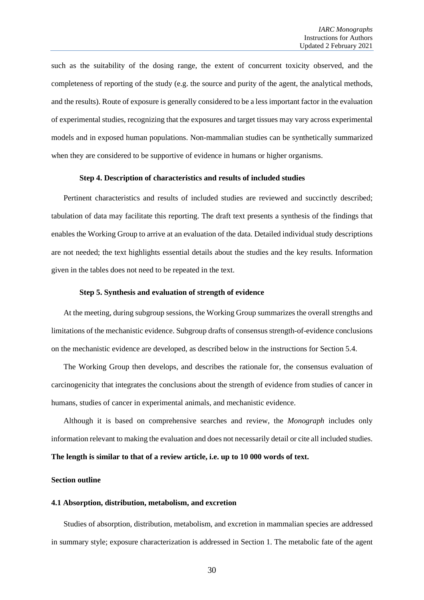such as the suitability of the dosing range, the extent of concurrent toxicity observed, and the completeness of reporting of the study (e.g. the source and purity of the agent, the analytical methods, and the results). Route of exposure is generally considered to be a less important factor in the evaluation of experimental studies, recognizing that the exposures and target tissues may vary across experimental models and in exposed human populations. Non-mammalian studies can be synthetically summarized when they are considered to be supportive of evidence in humans or higher organisms.

#### **Step 4. Description of characteristics and results of included studies**

Pertinent characteristics and results of included studies are reviewed and succinctly described; tabulation of data may facilitate this reporting. The draft text presents a synthesis of the findings that enables the Working Group to arrive at an evaluation of the data. Detailed individual study descriptions are not needed; the text highlights essential details about the studies and the key results. Information given in the tables does not need to be repeated in the text.

### **Step 5. Synthesis and evaluation of strength of evidence**

At the meeting, during subgroup sessions, the Working Group summarizes the overall strengths and limitations of the mechanistic evidence. Subgroup drafts of consensus strength-of-evidence conclusions on the mechanistic evidence are developed, as described below in the instructions for Section 5.4.

The Working Group then develops, and describes the rationale for, the consensus evaluation of carcinogenicity that integrates the conclusions about the strength of evidence from studies of cancer in humans, studies of cancer in experimental animals, and mechanistic evidence.

Although it is based on comprehensive searches and review, the *Monograph* includes only information relevant to making the evaluation and does not necessarily detail or cite all included studies. **The length is similar to that of a review article, i.e. up to 10 000 words of text.**

#### **Section outline**

#### **4.1 Absorption, distribution, metabolism, and excretion**

Studies of absorption, distribution, metabolism, and excretion in mammalian species are addressed in summary style; exposure characterization is addressed in Section 1. The metabolic fate of the agent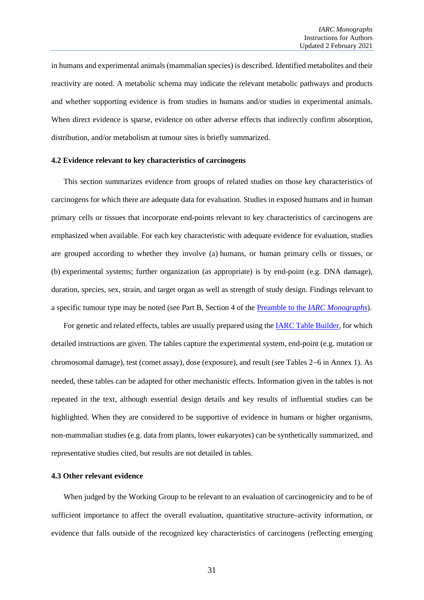in humans and experimental animals (mammalian species) is described. Identified metabolites and their reactivity are noted. A metabolic schema may indicate the relevant metabolic pathways and products and whether supporting evidence is from studies in humans and/or studies in experimental animals. When direct evidence is sparse, evidence on other adverse effects that indirectly confirm absorption, distribution, and/or metabolism at tumour sites is briefly summarized.

### **4.2 Evidence relevant to key characteristics of carcinogens**

This section summarizes evidence from groups of related studies on those key characteristics of carcinogens for which there are adequate data for evaluation. Studies in exposed humans and in human primary cells or tissues that incorporate end-points relevant to key characteristics of carcinogens are emphasized when available. For each key characteristic with adequate evidence for evaluation, studies are grouped according to whether they involve (a) humans, or human primary cells or tissues, or (b) experimental systems; further organization (as appropriate) is by end-point (e.g. DNA damage), duration, species, sex, strain, and target organ as well as strength of study design. Findings relevant to a specific tumour type may be noted (see Part B, Section 4 of the Preamble to the *[IARC Monographs](https://monographs.iarc.who.int/wp-content/uploads/2019/01/Preamble-2019.pdf)*).

For genetic and related effects, tables are usually prepared using the [IARC Table Builder,](https://table-builder.com/) for which detailed instructions are given. The tables capture the experimental system, end-point (e.g. mutation or chromosomal damage), test (comet assay), dose (exposure), and result (see Tables 2−6 in Annex 1). As needed, these tables can be adapted for other mechanistic effects. Information given in the tables is not repeated in the text, although essential design details and key results of influential studies can be highlighted. When they are considered to be supportive of evidence in humans or higher organisms, non-mammalian studies (e.g. data from plants, lower eukaryotes) can be synthetically summarized, and representative studies cited, but results are not detailed in tables.

#### **4.3 Other relevant evidence**

When judged by the Working Group to be relevant to an evaluation of carcinogenicity and to be of sufficient importance to affect the overall evaluation, quantitative structure–activity information, or evidence that falls outside of the recognized key characteristics of carcinogens (reflecting emerging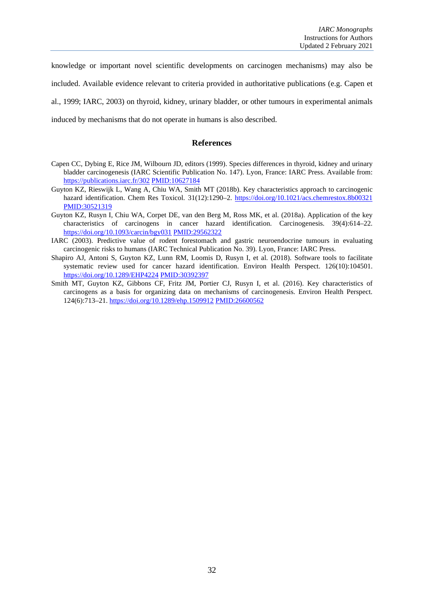knowledge or important novel scientific developments on carcinogen mechanisms) may also be included. Available evidence relevant to criteria provided in authoritative publications (e.g. Capen et

al., 1999; IARC, 2003) on thyroid, kidney, urinary bladder, or other tumours in experimental animals

induced by mechanisms that do not operate in humans is also described.

# **References**

- Capen CC, Dybing E, Rice JM, Wilbourn JD, editors (1999). Species differences in thyroid, kidney and urinary bladder carcinogenesis (IARC Scientific Publication No. 147). Lyon, France: IARC Press. Available from: <https://publications.iarc.fr/302> [PMID:10627184](https://www.ncbi.nlm.nih.gov/pubmed/?term=10627184)
- Guyton KZ, Rieswijk L, Wang A, Chiu WA, Smith MT (2018b). Key characteristics approach to carcinogenic hazard identification. Chem Res Toxicol. 31(12):1290-2.<https://doi.org/10.1021/acs.chemrestox.8b00321> [PMID:30521319](https://www.ncbi.nlm.nih.gov/entrez/query.fcgi?cmd=Retrieve&db=PubMed&list_uids=30521319&dopt=Abstract)
- Guyton KZ, Rusyn I, Chiu WA, Corpet DE, van den Berg M, Ross MK, et al. (2018a). Application of the key characteristics of carcinogens in cancer hazard identification. Carcinogenesis. 39(4):614–22. <https://doi.org/10.1093/carcin/bgy031> [PMID:29562322](https://www.ncbi.nlm.nih.gov/entrez/query.fcgi?cmd=Retrieve&db=PubMed&list_uids=29562322&dopt=Abstract)
- IARC (2003). Predictive value of rodent forestomach and gastric neuroendocrine tumours in evaluating carcinogenic risks to humans (IARC Technical Publication No. 39). Lyon, France: IARC Press.
- Shapiro AJ, Antoni S, Guyton KZ, Lunn RM, Loomis D, Rusyn I, et al. (2018). Software tools to facilitate systematic review used for cancer hazard identification. Environ Health Perspect. 126(10):104501. <https://doi.org/10.1289/EHP4224> [PMID:30392397](https://www.ncbi.nlm.nih.gov/pubmed/30392397)
- Smith MT, Guyton KZ, Gibbons CF, Fritz JM, Portier CJ, Rusyn I, et al. (2016). Key characteristics of carcinogens as a basis for organizing data on mechanisms of carcinogenesis. Environ Health Perspect. 124(6):713–21[. https://doi.org/10.1289/ehp.1509912](https://doi.org/10.1289/ehp.1509912) [PMID:26600562](https://www.ncbi.nlm.nih.gov/entrez/query.fcgi?cmd=Retrieve&db=PubMed&list_uids=26600562&dopt=Abstract)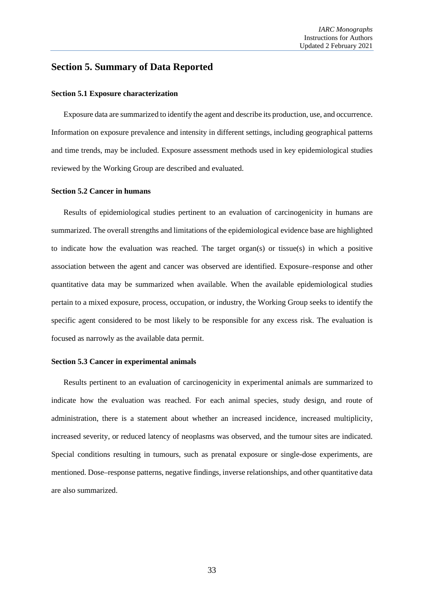# <span id="page-32-0"></span>**Section 5. Summary of Data Reported**

#### **Section 5.1 Exposure characterization**

Exposure data are summarized to identify the agent and describe its production, use, and occurrence. Information on exposure prevalence and intensity in different settings, including geographical patterns and time trends, may be included. Exposure assessment methods used in key epidemiological studies reviewed by the Working Group are described and evaluated.

### **Section 5.2 Cancer in humans**

Results of epidemiological studies pertinent to an evaluation of carcinogenicity in humans are summarized. The overall strengths and limitations of the epidemiological evidence base are highlighted to indicate how the evaluation was reached. The target organ(s) or tissue(s) in which a positive association between the agent and cancer was observed are identified. Exposure–response and other quantitative data may be summarized when available. When the available epidemiological studies pertain to a mixed exposure, process, occupation, or industry, the Working Group seeks to identify the specific agent considered to be most likely to be responsible for any excess risk. The evaluation is focused as narrowly as the available data permit.

#### **Section 5.3 Cancer in experimental animals**

Results pertinent to an evaluation of carcinogenicity in experimental animals are summarized to indicate how the evaluation was reached. For each animal species, study design, and route of administration, there is a statement about whether an increased incidence, increased multiplicity, increased severity, or reduced latency of neoplasms was observed, and the tumour sites are indicated. Special conditions resulting in tumours, such as prenatal exposure or single-dose experiments, are mentioned. Dose–response patterns, negative findings, inverse relationships, and other quantitative data are also summarized.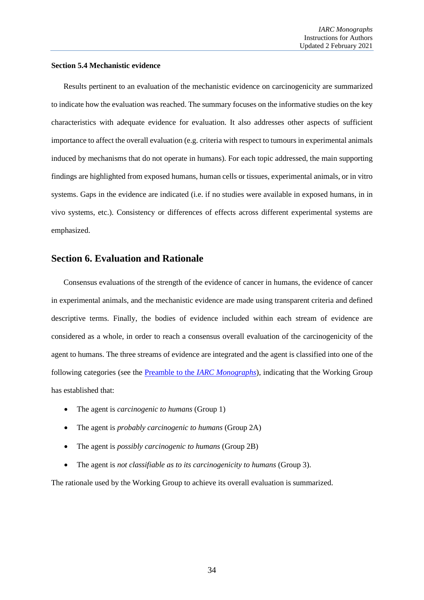#### **Section 5.4 Mechanistic evidence**

Results pertinent to an evaluation of the mechanistic evidence on carcinogenicity are summarized to indicate how the evaluation was reached. The summary focuses on the informative studies on the key characteristics with adequate evidence for evaluation. It also addresses other aspects of sufficient importance to affect the overall evaluation (e.g. criteria with respect to tumours in experimental animals induced by mechanisms that do not operate in humans). For each topic addressed, the main supporting findings are highlighted from exposed humans, human cells or tissues, experimental animals, or in vitro systems. Gaps in the evidence are indicated (i.e. if no studies were available in exposed humans, in in vivo systems, etc.). Consistency or differences of effects across different experimental systems are emphasized.

# <span id="page-33-0"></span>**Section 6. Evaluation and Rationale**

Consensus evaluations of the strength of the evidence of cancer in humans, the evidence of cancer in experimental animals, and the mechanistic evidence are made using transparent criteria and defined descriptive terms. Finally, the bodies of evidence included within each stream of evidence are considered as a whole, in order to reach a consensus overall evaluation of the carcinogenicity of the agent to humans. The three streams of evidence are integrated and the agent is classified into one of the following categories (see the Preamble to the *[IARC Monographs](https://monographs.iarc.who.int/wp-content/uploads/2019/01/Preamble-2019.pdf)*), indicating that the Working Group has established that:

- The agent is *carcinogenic to humans* (Group 1)
- The agent is *probably carcinogenic to humans* (Group 2A)
- The agent is *possibly carcinogenic to humans* (Group 2B)
- The agent is *not classifiable as to its carcinogenicity to humans* (Group 3).

The rationale used by the Working Group to achieve its overall evaluation is summarized.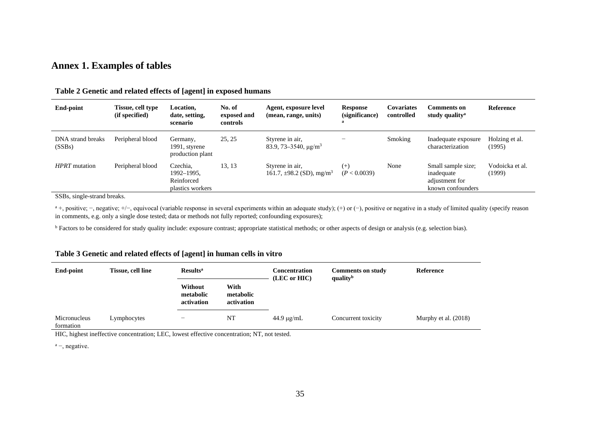# **Annex 1. Examples of tables**

| End-point                   | Tissue, cell type<br>(if specified) | Location,<br>date, setting,<br>scenario                  | No. of<br>exposed and<br>controls | Agent, exposure level<br>(mean, range, units)                | Response<br>(significance) | <b>Covariates</b><br>controlled | <b>Comments on</b><br>study quality <sup>a</sup>                        | Reference                 |
|-----------------------------|-------------------------------------|----------------------------------------------------------|-----------------------------------|--------------------------------------------------------------|----------------------------|---------------------------------|-------------------------------------------------------------------------|---------------------------|
| DNA strand breaks<br>(SSBs) | Peripheral blood                    | Germany,<br>1991, styrene<br>production plant            | 25, 25                            | Styrene in air,<br>83.9, 73-3540, $\mu$ g/m <sup>3</sup>     |                            | Smoking                         | Inadequate exposure<br>characterization                                 | Holzing et al.<br>(1995)  |
| HPRT mutation               | Peripheral blood                    | Czechia.<br>1992–1995,<br>Reinforced<br>plastics workers | 13, 13                            | Styrene in air.<br>161.7, $\pm$ 98.2 (SD), mg/m <sup>3</sup> | $^{(+)}$<br>(P < 0.0039)   | None                            | Small sample size;<br>inadequate<br>adjustment for<br>known confounders | Vodoicka et al.<br>(1999) |

# **Table 2 Genetic and related effects of [agent] in exposed humans**

SSBs, single-strand breaks.

<sup>a</sup> +, positive; -, negative; +/-, equivocal (variable response in several experiments within an adequate study); (+) or (-), positive or negative in a study of limited quality (specify reason in comments, e.g. only a single dose tested; data or methods not fully reported; confounding exposures);

<span id="page-34-0"></span><sup>b</sup> Factors to be considered for study quality include: exposure contrast; appropriate statistical methods; or other aspects of design or analysis (e.g. selection bias).

# **Table 3 Genetic and related effects of [agent] in human cells in vitro**

| End-point                 | Tissue, cell line | <b>Results</b> <sup>a</sup>        |                                 | <b>Concentration</b><br>(LEC or HIC) | <b>Comments on study</b><br>quality <sup>b</sup> | Reference            |
|---------------------------|-------------------|------------------------------------|---------------------------------|--------------------------------------|--------------------------------------------------|----------------------|
|                           |                   | Without<br>metabolic<br>activation | With<br>metabolic<br>activation |                                      |                                                  |                      |
| Micronucleus<br>formation | Lymphocytes       | $\overline{\phantom{0}}$           | NT                              | $44.9 \mu g/mL$                      | Concurrent toxicity                              | Murphy et al. (2018) |

HIC, highest ineffective concentration; LEC, lowest effective concentration; NT, not tested.

 $a -$ , negative.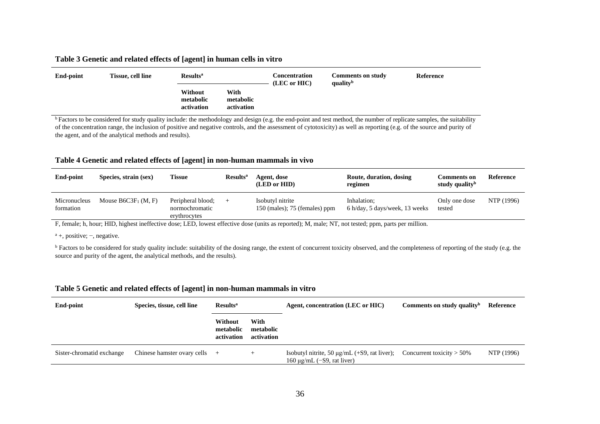### **Table 3 Genetic and related effects of [agent] in human cells in vitro**

| End-point | Tissue, cell line | <b>Results</b> <sup>a</sup>        |                                 | Concentration<br>(LEC or HIC) | <b>Comments on study</b><br>quality <sup>b</sup> | Reference |
|-----------|-------------------|------------------------------------|---------------------------------|-------------------------------|--------------------------------------------------|-----------|
|           |                   | Without<br>metabolic<br>activation | With<br>metabolic<br>activation |                               |                                                  |           |

<sup>b</sup> Factors to be considered for study quality include: the methodology and design (e.g. the end-point and test method, the number of replicate samples, the suitability of the concentration range, the inclusion of positive and negative controls, and the assessment of cytotoxicity) as well as reporting (e.g. of the source and purity of the agent, and of the analytical methods and results).

# **Table 4 Genetic and related effects of [agent] in non-human mammals in vivo**

| End-point                 | Species, strain (sex) | <b>Tissue</b>                                       | <b>Results</b> <sup>a</sup> | Agent, dose<br>(LED or HID)                           | Route, duration, dosing<br>regimen            | Comments on<br>study quality <sup>b</sup> | Reference  |
|---------------------------|-----------------------|-----------------------------------------------------|-----------------------------|-------------------------------------------------------|-----------------------------------------------|-------------------------------------------|------------|
| Micronucleus<br>formation | Mouse $B6C3F_1(M, F)$ | Peripheral blood;<br>normochromatic<br>erythrocytes | $\div$                      | Isobutyl nitrite<br>$150$ (males); $75$ (females) ppm | Inhalation:<br>6 h/day, 5 days/week, 13 weeks | Only one dose<br>tested                   | NTP (1996) |

F, female; h, hour; HID, highest ineffective dose; LED, lowest effective dose (units as reported); M, male; NT, not tested; ppm, parts per million.

 $a +$ , positive; –, negative.

<sup>b</sup> Factors to be considered for study quality include: suitability of the dosing range, the extent of concurrent toxicity observed, and the completeness of reporting of the study (e.g. the source and purity of the agent, the analytical methods, and the results).

# **Table 5 Genetic and related effects of [agent] in non-human mammals in vitro**

| End-point                 | Species, tissue, cell line  | <b>Results</b> <sup>a</sup>        |                                 | Agent, concentration (LEC or HIC)                                                    | Comments on study quality <sup>b</sup> | Reference  |
|---------------------------|-----------------------------|------------------------------------|---------------------------------|--------------------------------------------------------------------------------------|----------------------------------------|------------|
|                           |                             | Without<br>metabolic<br>activation | With<br>metabolic<br>activation |                                                                                      |                                        |            |
| Sister-chromatid exchange | Chinese hamster ovary cells |                                    |                                 | Isobutyl nitrite, 50 $\mu$ g/mL (+S9, rat liver);<br>160 $\mu$ g/mL (-S9, rat liver) | Concurrent toxicity $> 50\%$           | NTP (1996) |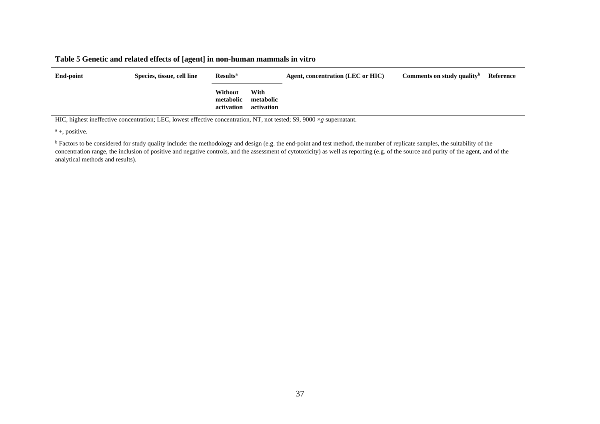### **Table 5 Genetic and related effects of [agent] in non-human mammals in vitro**

| End-point | Species, tissue, cell line | <b>Results</b> <sup>a</sup>        |                                 | Agent, concentration (LEC or HIC) | Comments on study quality <sup>b</sup> | Reference |
|-----------|----------------------------|------------------------------------|---------------------------------|-----------------------------------|----------------------------------------|-----------|
|           |                            | Without<br>metabolic<br>activation | With<br>metabolic<br>activation |                                   |                                        |           |

HIC, highest ineffective concentration; LEC, lowest effective concentration, NT, not tested; S9, 9000 ×*g* supernatant.

 $a +$ , positive.

<sup>b</sup> Factors to be considered for study quality include: the methodology and design (e.g. the end-point and test method, the number of replicate samples, the suitability of the concentration range, the inclusion of positive and negative controls, and the assessment of cytotoxicity) as well as reporting (e.g. of the source and purity of the agent, and of the analytical methods and results).